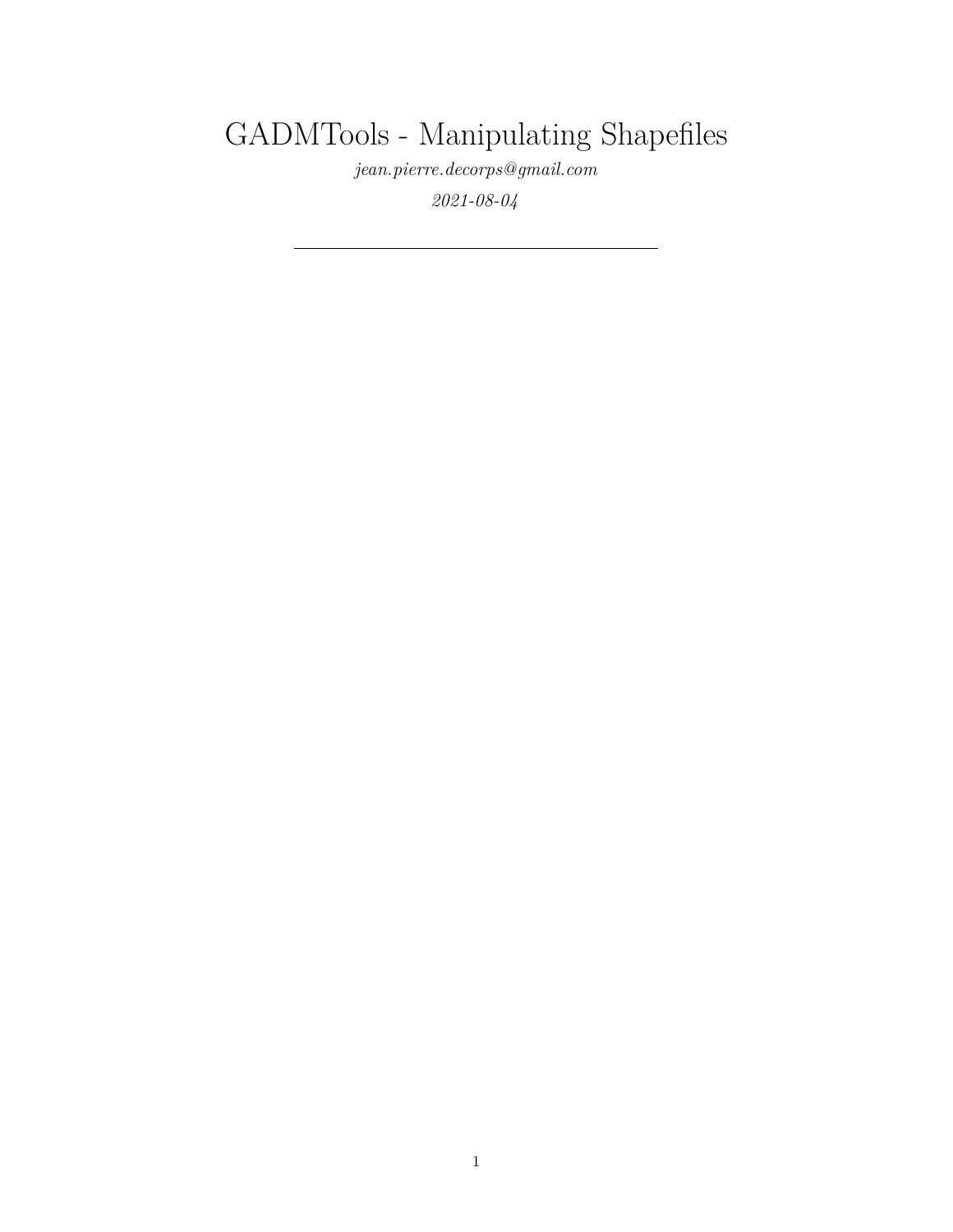# GADMTools - Manipulating Shapefiles

*[jean.pierre.decorps@gmail.com](mailto:jean.pierre.decorps@gmail.com)*

*2021-08-04*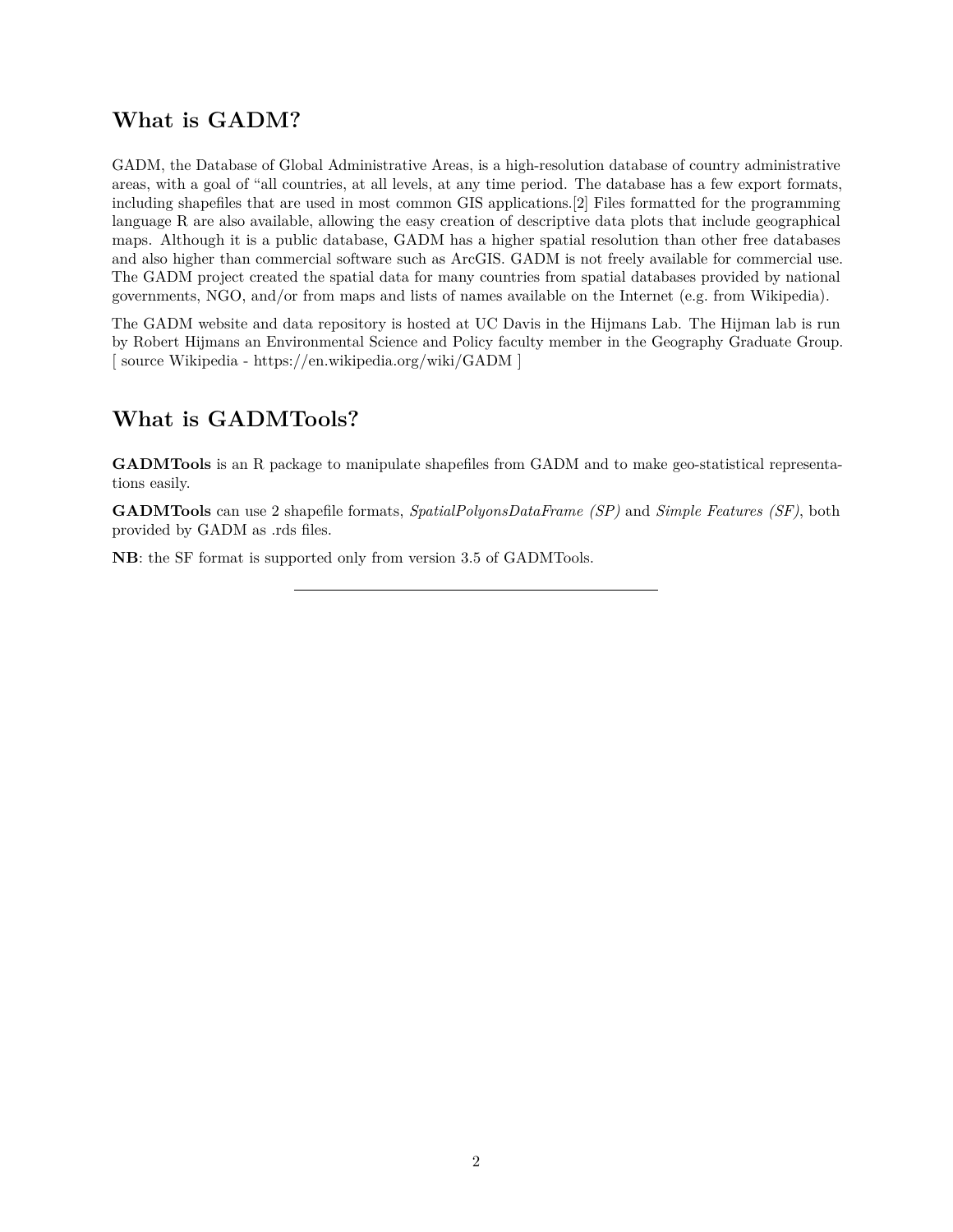### **What is GADM?**

GADM, the Database of Global Administrative Areas, is a high-resolution database of country administrative areas, with a goal of "all countries, at all levels, at any time period. The database has a few export formats, including shapefiles that are used in most common GIS applications.[2] Files formatted for the programming language R are also available, allowing the easy creation of descriptive data plots that include geographical maps. Although it is a public database, GADM has a higher spatial resolution than other free databases and also higher than commercial software such as ArcGIS. GADM is not freely available for commercial use. The GADM project created the spatial data for many countries from spatial databases provided by national governments, NGO, and/or from maps and lists of names available on the Internet (e.g. from Wikipedia).

The GADM website and data repository is hosted at UC Davis in the Hijmans Lab. The Hijman lab is run by Robert Hijmans an Environmental Science and Policy faculty member in the Geography Graduate Group. [ source Wikipedia -<https://en.wikipedia.org/wiki/GADM> ]

## **What is GADMTools?**

**GADMTools** is an R package to manipulate shapefiles from GADM and to make geo-statistical representations easily.

**GADMTools** can use 2 shapefile formats, *SpatialPolyonsDataFrame (SP)* and *Simple Features (SF)*, both provided by GADM as .rds files.

**NB**: the SF format is supported only from version 3.5 of GADMTools.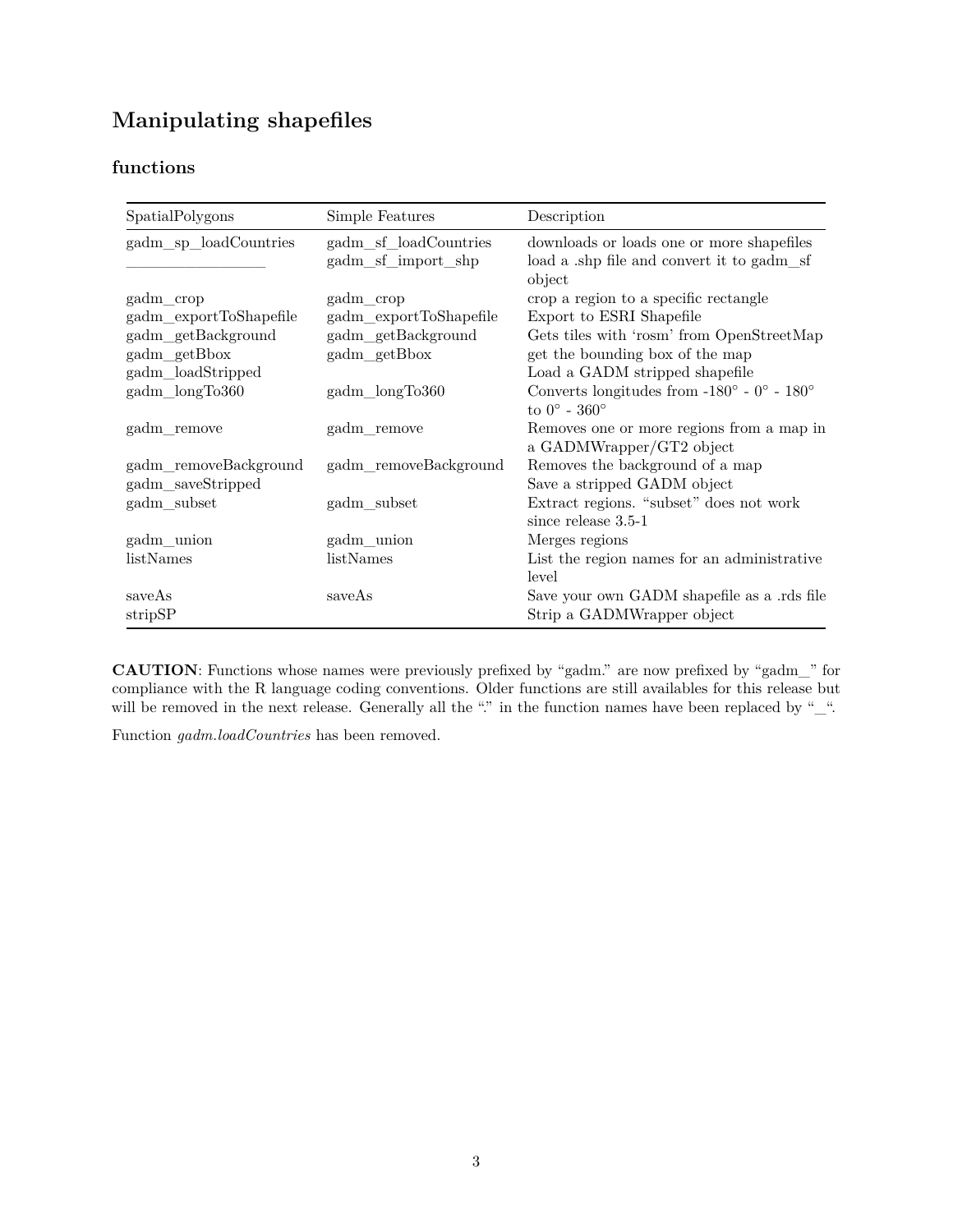# **Manipulating shapefiles**

#### **functions**

| SpatialPolygons        | Simple Features                             | Description                                                                                      |
|------------------------|---------------------------------------------|--------------------------------------------------------------------------------------------------|
| gadm_sp_loadCountries  | gadm_sf_loadCountries<br>gadm_sf_import_shp | downloads or loads one or more shapefiles<br>load a shp file and convert it to gadm sf<br>object |
| gadm_crop              | gadm_crop                                   | crop a region to a specific rectangle                                                            |
| gadm_exportToShapefile | gadm_exportToShapefile                      | Export to ESRI Shapefile                                                                         |
| gadm_getBackground     | gadm_getBackground                          | Gets tiles with 'rosm' from OpenStreetMap                                                        |
| gadm_getBbox           | gadm_getBbox                                | get the bounding box of the map                                                                  |
| gadm_loadStripped      |                                             | Load a GADM stripped shapefile                                                                   |
| gadm_longTo360         | gadm_longTo360                              | Converts longitudes from -180 $^{\circ}$ - 0 $^{\circ}$ - 180 $^{\circ}$                         |
|                        |                                             | to $0^\circ$ - $360^\circ$                                                                       |
| gadm_remove            | gadm_remove                                 | Removes one or more regions from a map in<br>a GADMWrapper/GT2 object                            |
| gadm_removeBackground  | gadm removeBackground                       | Removes the background of a map                                                                  |
| gadm_saveStripped      |                                             | Save a stripped GADM object                                                                      |
| gadm_subset            | $\text{gadm\_subset}$                       | Extract regions. "subset" does not work                                                          |
|                        |                                             | since release $3.5-1$                                                                            |
| gadm_union             | gadm_union                                  | Merges regions                                                                                   |
| listNames              | listNames                                   | List the region names for an administrative                                                      |
|                        |                                             | level                                                                                            |
| saveAs                 | saveAs                                      | Save your own GADM shapefile as a .rds file                                                      |
| stripSP                |                                             | Strip a GADMWrapper object                                                                       |

**CAUTION**: Functions whose names were previously prefixed by "gadm." are now prefixed by "gadm\_" for compliance with the R language coding conventions. Older functions are still availables for this release but will be removed in the next release. Generally all the "." in the function names have been replaced by "\_".

Function *gadm.loadCountries* has been removed.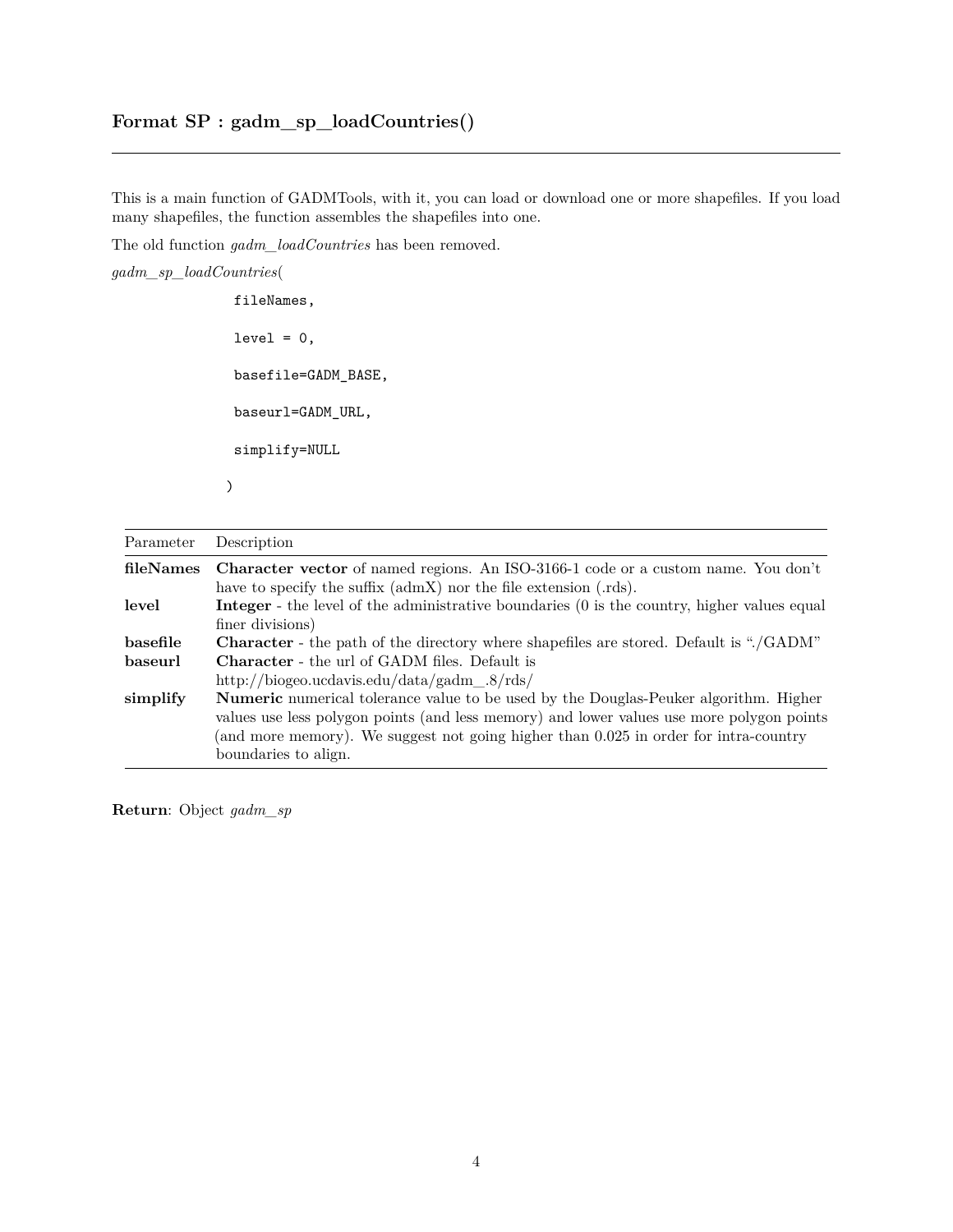This is a main function of GADMTools, with it, you can load or download one or more shapefiles. If you load many shapefiles, the function assembles the shapefiles into one.

The old function *gadm\_loadCountries* has been removed.

*gadm\_sp\_loadCountries*(

fileNames,  $level = 0,$ basefile=GADM\_BASE, baseurl=GADM\_URL, simplify=NULL )

| Parameter | Description                                                                                        |
|-----------|----------------------------------------------------------------------------------------------------|
| fileNames | <b>Character vector</b> of named regions. An ISO-3166-1 code or a custom name. You don't           |
|           | have to specify the suffix $(\text{admX})$ nor the file extension $(rds)$ .                        |
| level     | <b>Integer</b> - the level of the administrative boundaries (0 is the country, higher values equal |
|           | finer divisions)                                                                                   |
| basefile  | Character - the path of the directory where shapefiles are stored. Default is "./GADM"             |
| baseurl   | <b>Character</b> - the url of GADM files. Default is                                               |
|           | http://biogeo.ucdavis.edu/data/gadm. $8/rds$ /                                                     |
| simplify  | Numeric numerical tolerance value to be used by the Douglas-Peuker algorithm. Higher               |
|           | values use less polygon points (and less memory) and lower values use more polygon points          |
|           | (and more memory). We suggest not going higher than 0.025 in order for intra-country               |
|           | boundaries to align.                                                                               |

**Return**: Object *gadm\_sp*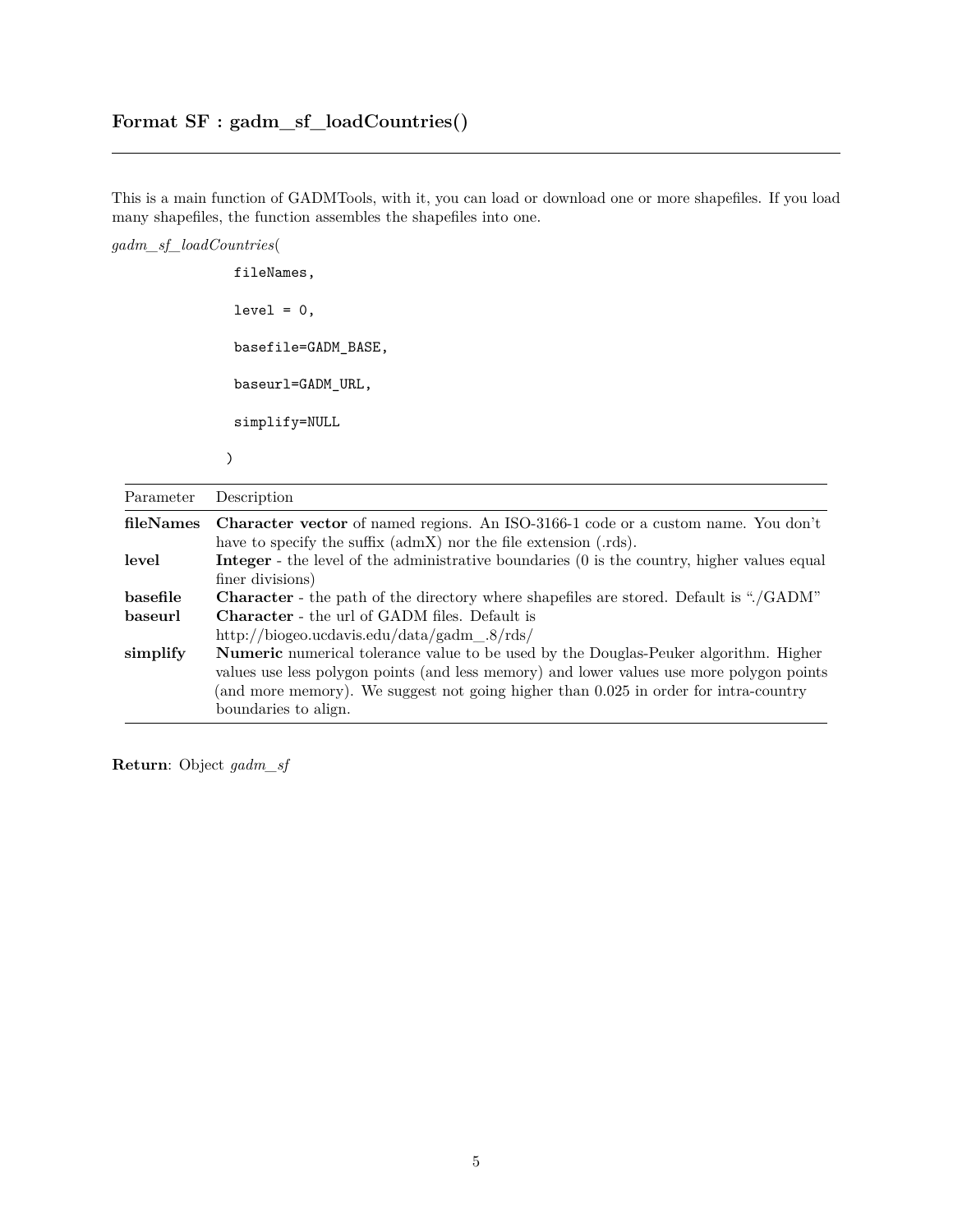This is a main function of GADMTools, with it, you can load or download one or more shapefiles. If you load many shapefiles, the function assembles the shapefiles into one.

*gadm\_sf\_loadCountries*(

fileNames,  $level = 0,$ basefile=GADM\_BASE, baseurl=GADM\_URL, simplify=NULL )

| Parameter | Description                                                                                                                                                                                                                                                               |
|-----------|---------------------------------------------------------------------------------------------------------------------------------------------------------------------------------------------------------------------------------------------------------------------------|
| fileNames | <b>Character vector</b> of named regions. An ISO-3166-1 code or a custom name. You don't<br>have to specify the suffix (admX) nor the file extension (.rds).                                                                                                              |
| level     | <b>Integer</b> - the level of the administrative boundaries (0 is the country, higher values equal<br>finer divisions)                                                                                                                                                    |
| basefile  | Character - the path of the directory where shapefiles are stored. Default is "./GADM"                                                                                                                                                                                    |
| baseurl   | <b>Character</b> - the url of GADM files. Default is                                                                                                                                                                                                                      |
|           | http://biogeo.ucdavis.edu/data/gadm $.8/rds/$                                                                                                                                                                                                                             |
| simplify  | Numeric numerical tolerance value to be used by the Douglas-Peuker algorithm. Higher<br>values use less polygon points (and less memory) and lower values use more polygon points<br>(and more memory). We suggest not going higher than 0.025 in order for intra-country |
|           | boundaries to align.                                                                                                                                                                                                                                                      |

**Return**: Object *gadm\_sf*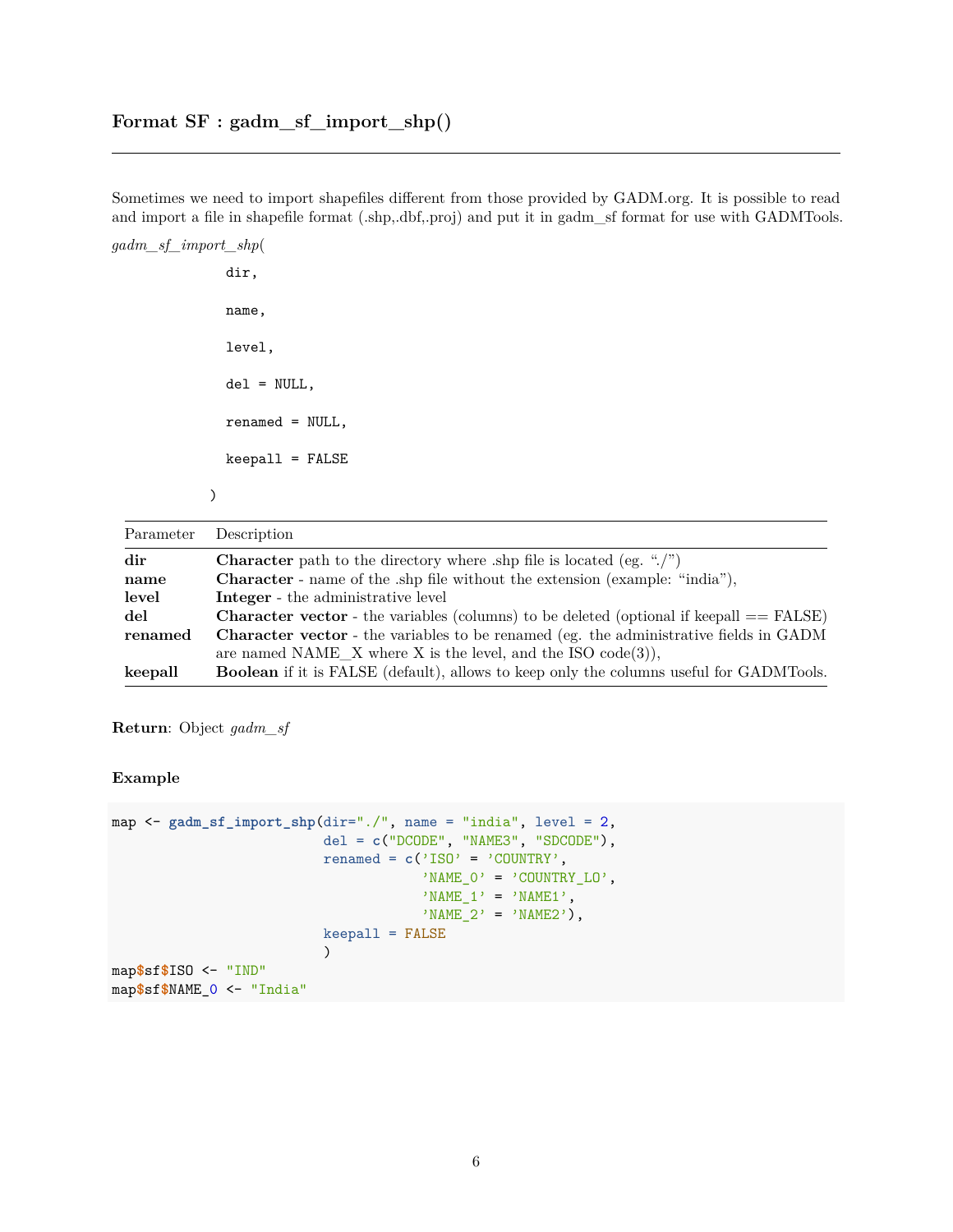Sometimes we need to import shapefiles different from those provided by GADM.org. It is possible to read and import a file in shapefile format (.shp,.dbf,.proj) and put it in gadm\_sf format for use with GADMTools.

*gadm\_sf\_import\_shp*(

dir, name, level, del = NULL, renamed = NULL, keepall = FALSE

)

| Parameter | Description                                                                                    |
|-----------|------------------------------------------------------------------------------------------------|
| dir       | <b>Character</b> path to the directory where shp file is located (eg. " $\langle$ ")           |
| name      | <b>Character</b> - name of the ship file without the extension (example: "india"),             |
| level     | <b>Integer</b> - the administrative level                                                      |
| del       | <b>Character vector</b> - the variables (columns) to be deleted (optional if keepall == FALSE) |
| renamed   | <b>Character vector</b> - the variables to be renamed (eg. the administrative fields in GADM   |
|           | are named NAME_X where X is the level, and the ISO $code(3)$ ,                                 |
| keepall   | <b>Boolean</b> if it is FALSE (default), allows to keep only the columns useful for GADMTools. |

**Return**: Object *gadm\_sf*

**Example**

```
map <- gadm_sf_import_shp(dir="./", name = "india", level = 2,
                          del = c("DCODE", "NAME3", "SDCODE"),
                          renamed = c('ISO' = 'COUNTRY', )'NAME_0' = 'COUNTRY_L0','NAME_1' = 'NAME1','NAME_2' = 'NAME2'),
                          keepall = FALSE
                          )
map$sf$ISO <- "IND"
map$sf$NAME_0 <- "India"
```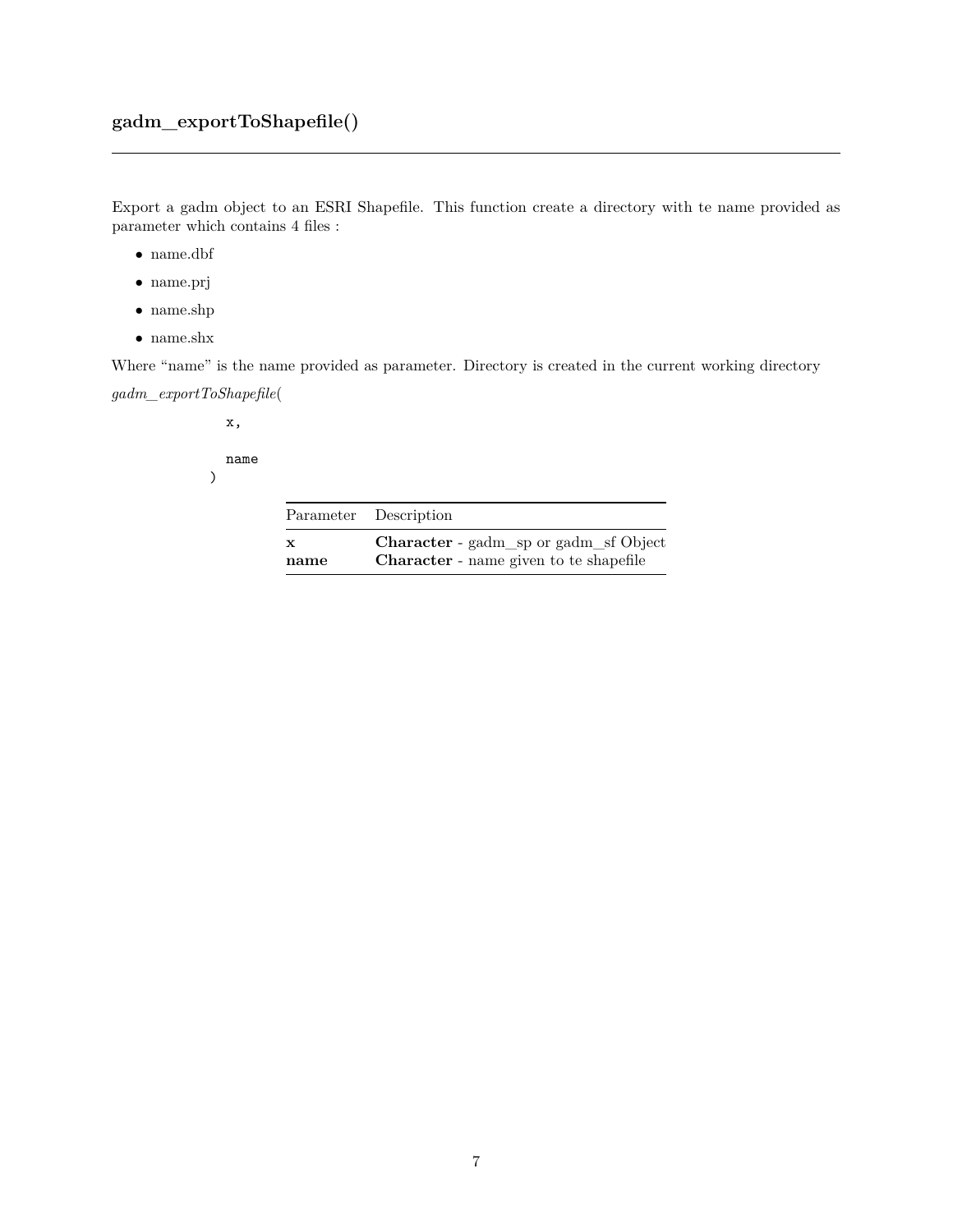Export a gadm object to an ESRI Shapefile. This function create a directory with te name provided as parameter which contains 4 files :

- $\bullet\,$ name.dbf
- name.prj
- name.shp
- $\bullet\,$  name.shx

Where "name" is the name provided as parameter. Directory is created in the current working directory

*gadm\_exportToShapefile*(

x,

name

)

|              | Parameter Description                         |
|--------------|-----------------------------------------------|
| $\mathbf{x}$ | <b>Character</b> - gadm_sp or gadm_sf Object  |
| name         | <b>Character</b> - name given to te shapefile |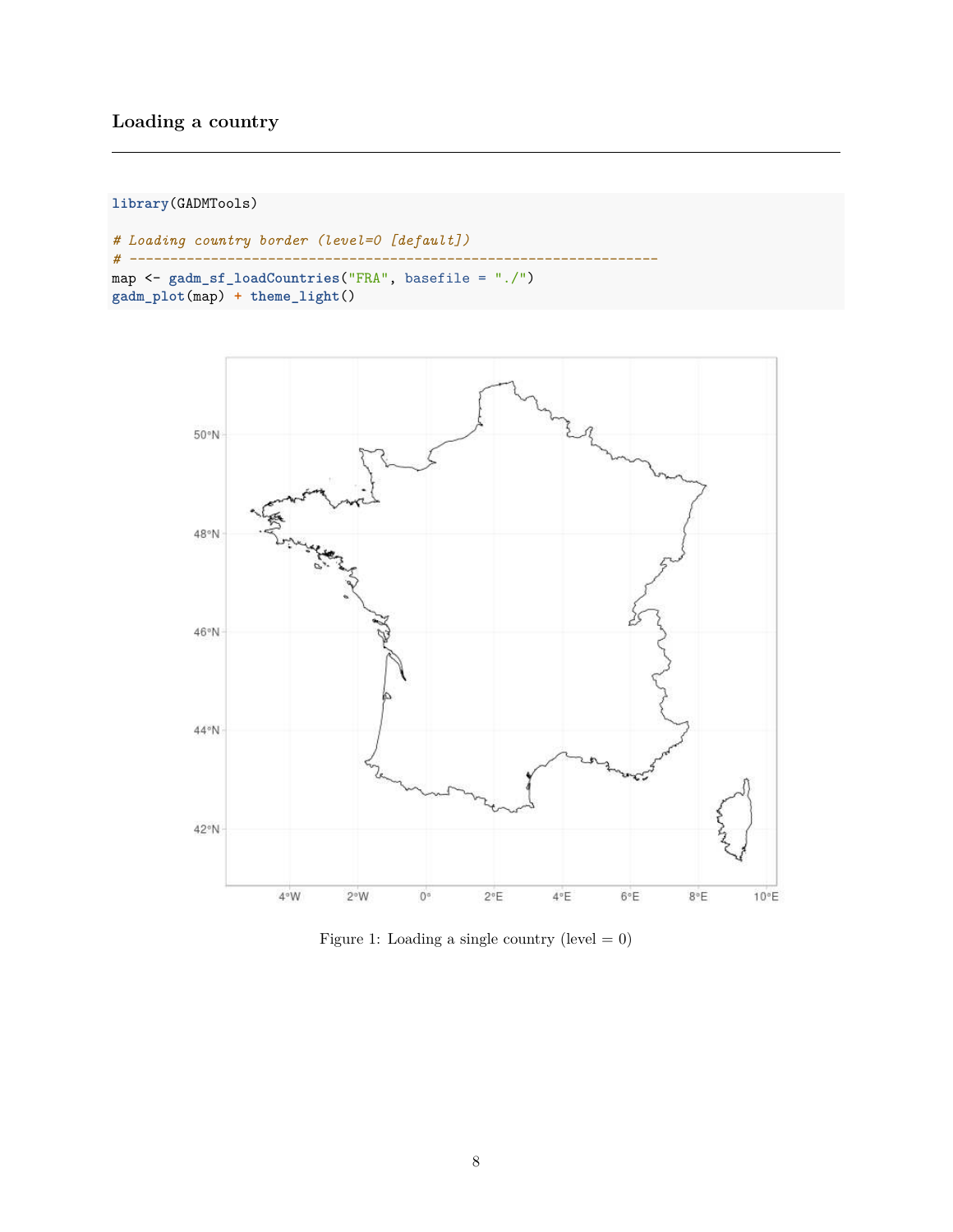#### **Loading a country**

**library**(GADMTools)

```
# Loading country border (level=0 [default])
# -----------------------------------------------------------------
map <- gadm_sf_loadCountries("FRA", basefile = "./")
gadm_plot(map) + theme_light()
```


Figure 1: Loading a single country (level  $= 0$ )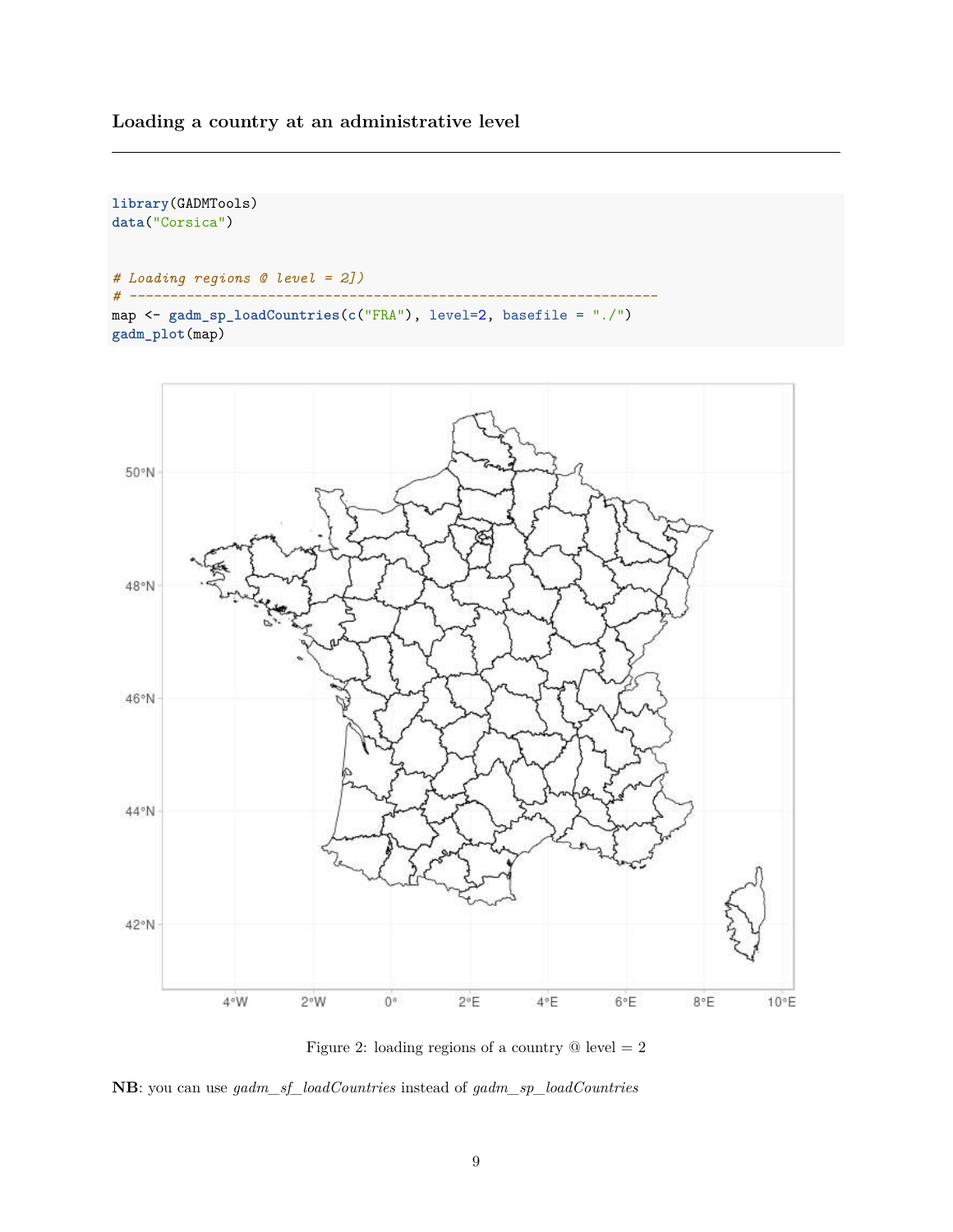#### **Loading a country at an administrative level**

**library**(GADMTools)





**NB**: you can use *gadm\_sf\_loadCountries* instead of *gadm\_sp\_loadCountries*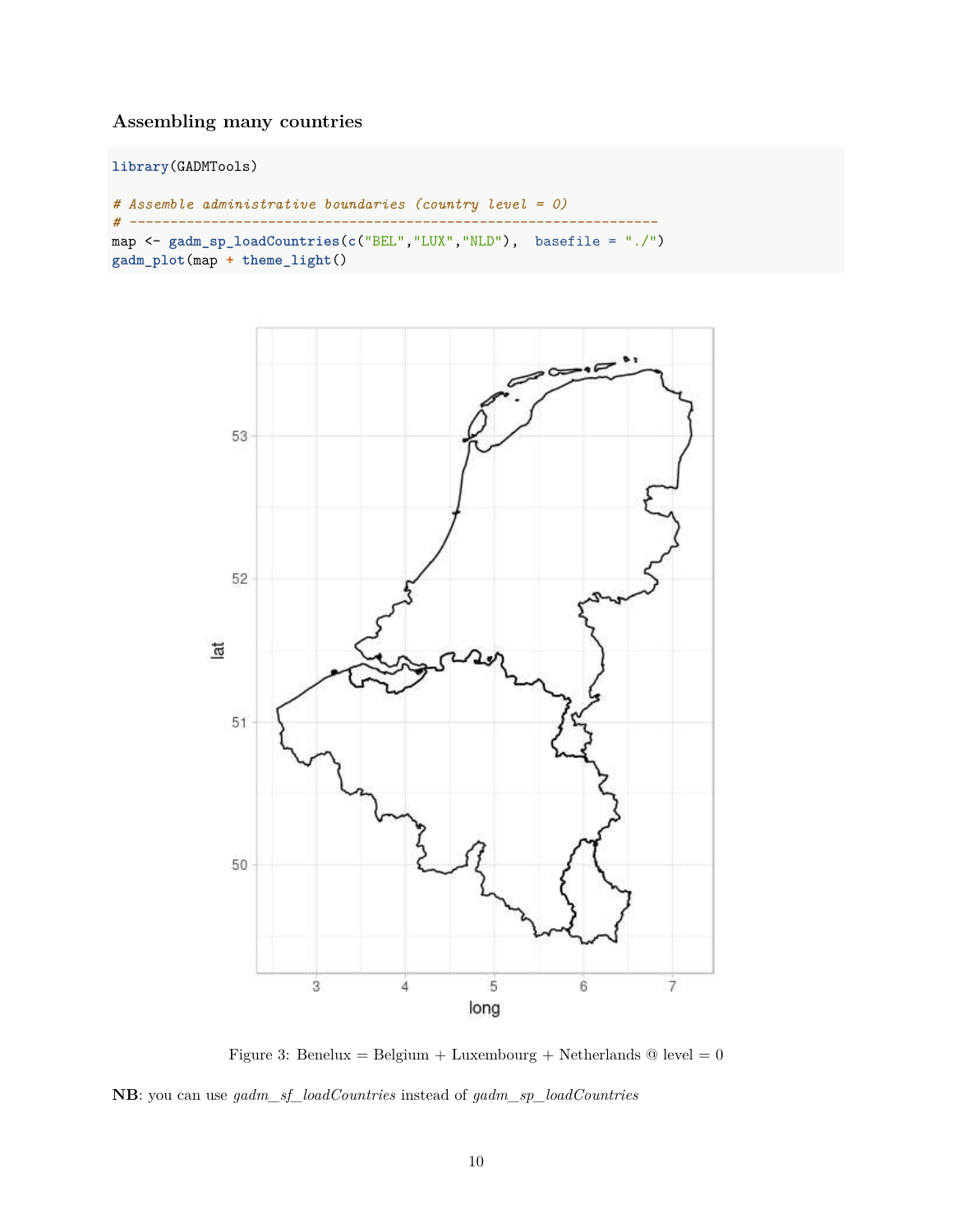#### **Assembling many countries**

**library**(GADMTools)

```
# Assemble administrative boundaries (country level = 0)
# -----------------------------------------------------------------
map <- gadm_sp_loadCountries(c("BEL","LUX","NLD"), basefile = "./")
gadm_plot(map + theme_light()
```


Figure 3: Benelux = Belgium + Luxembourg + Netherlands  $@$  level = 0 **NB**: you can use *gadm\_sf\_loadCountries* instead of *gadm\_sp\_loadCountries*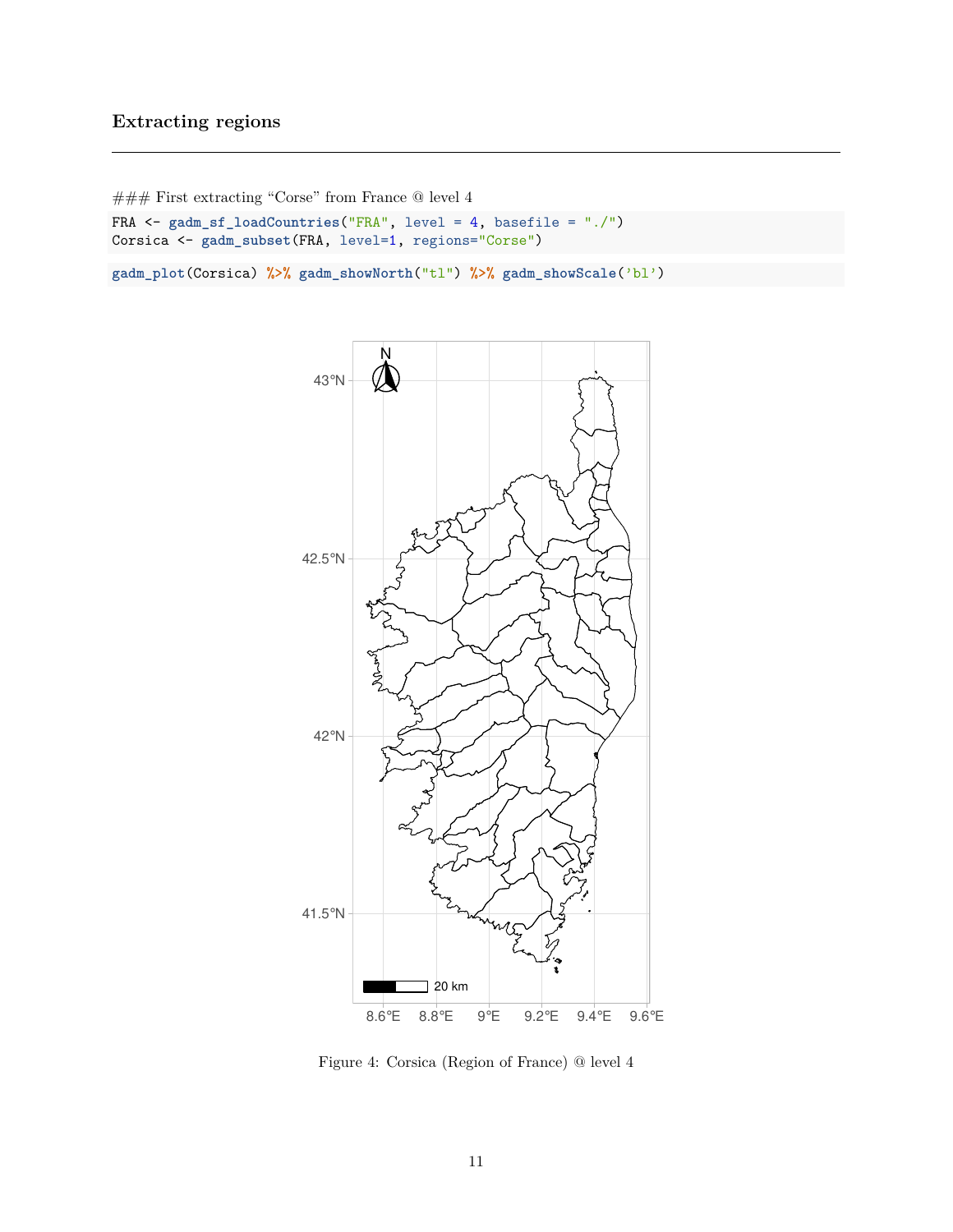#### **Extracting regions**

```
\#\#\#\text{ First extracting "Core" from France} @ level 4FRA <- gadm_sf_loadCountries("FRA", level = 4, basefile = "./")
Corsica <- gadm_subset(FRA, level=1, regions="Corse")
```
**gadm\_plot**(Corsica) **%>% gadm\_showNorth**("tl") **%>% gadm\_showScale**('bl')



Figure 4: Corsica (Region of France) @ level 4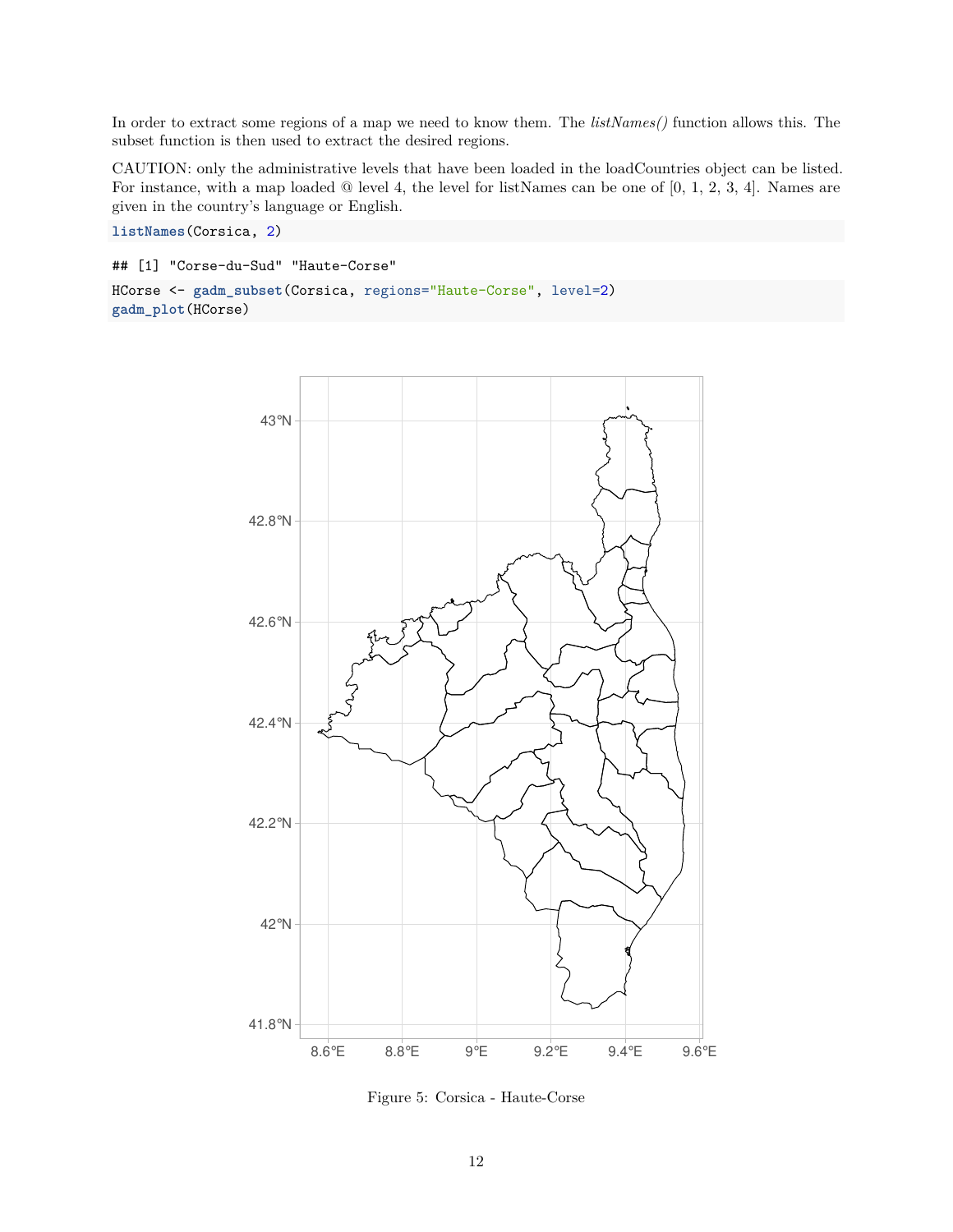In order to extract some regions of a map we need to know them. The *listNames()* function allows this. The subset function is then used to extract the desired regions.

CAUTION: only the administrative levels that have been loaded in the loadCountries object can be listed. For instance, with a map loaded @ level 4, the level for listNames can be one of [0, 1, 2, 3, 4]. Names are given in the country's language or English.

**listNames**(Corsica, 2)

```
## [1] "Corse-du-Sud" "Haute-Corse"
```

```
HCorse <- gadm_subset(Corsica, regions="Haute-Corse", level=2)
gadm_plot(HCorse)
```


Figure 5: Corsica - Haute-Corse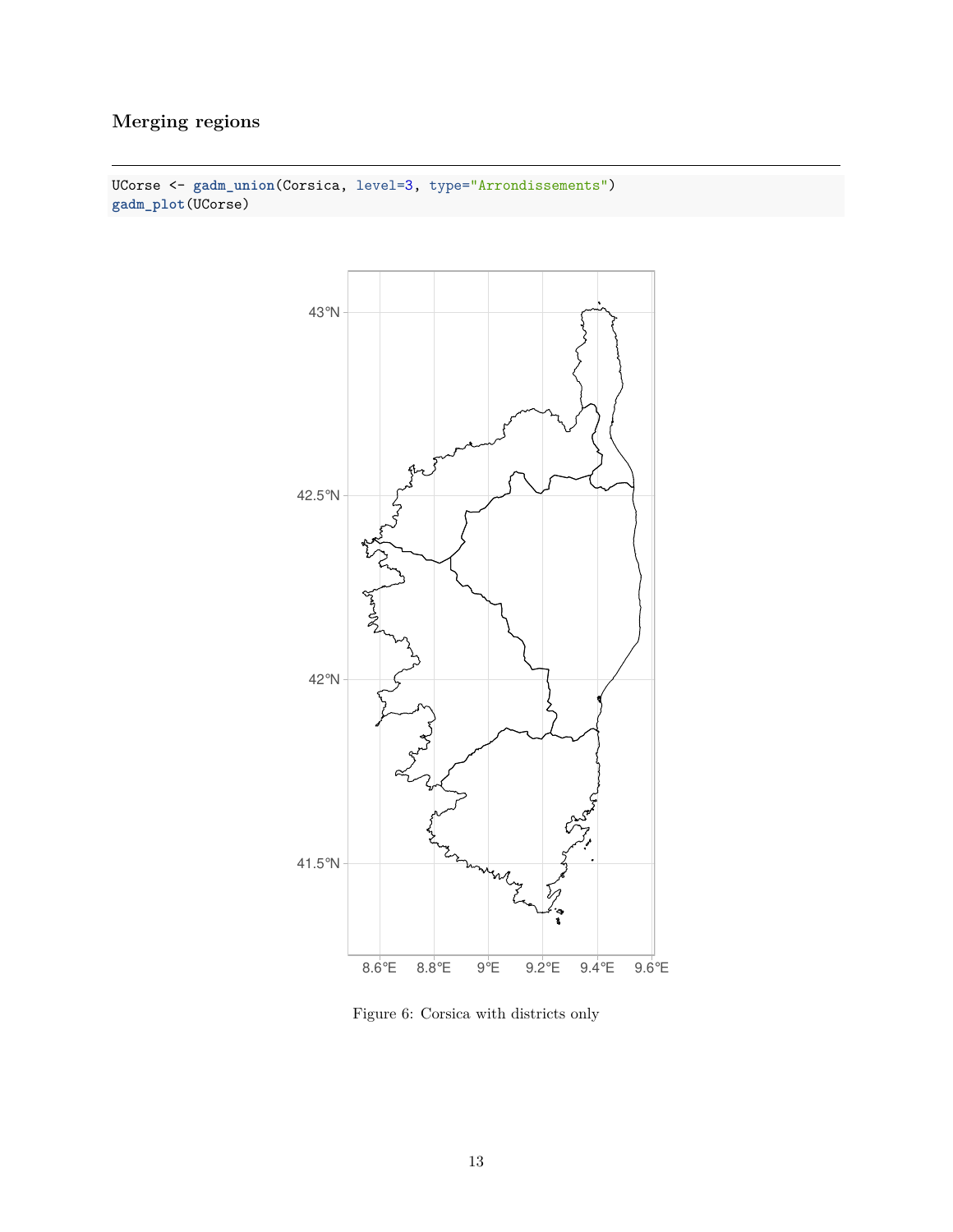## **Merging regions**



UCorse <- **gadm\_union**(Corsica, level=3, type="Arrondissements") **gadm\_plot**(UCorse)

Figure 6: Corsica with districts only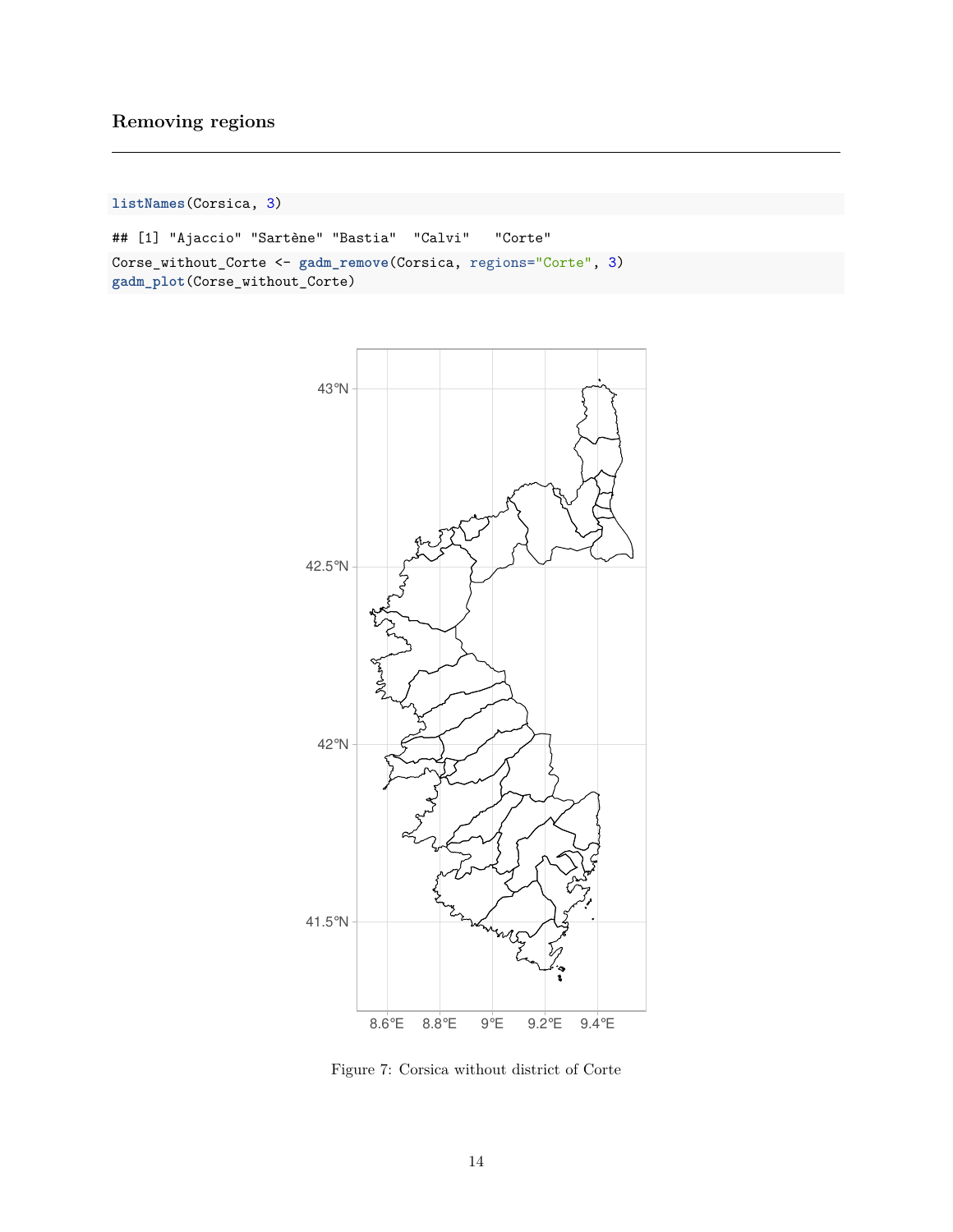#### **Removing regions**

**listNames**(Corsica, 3)

```
## [1] "Ajaccio" "Sartène" "Bastia" "Calvi" "Corte"
Corse_without_Corte <- gadm_remove(Corsica, regions="Corte", 3)
gadm_plot(Corse_without_Corte)
```


Figure 7: Corsica without district of Corte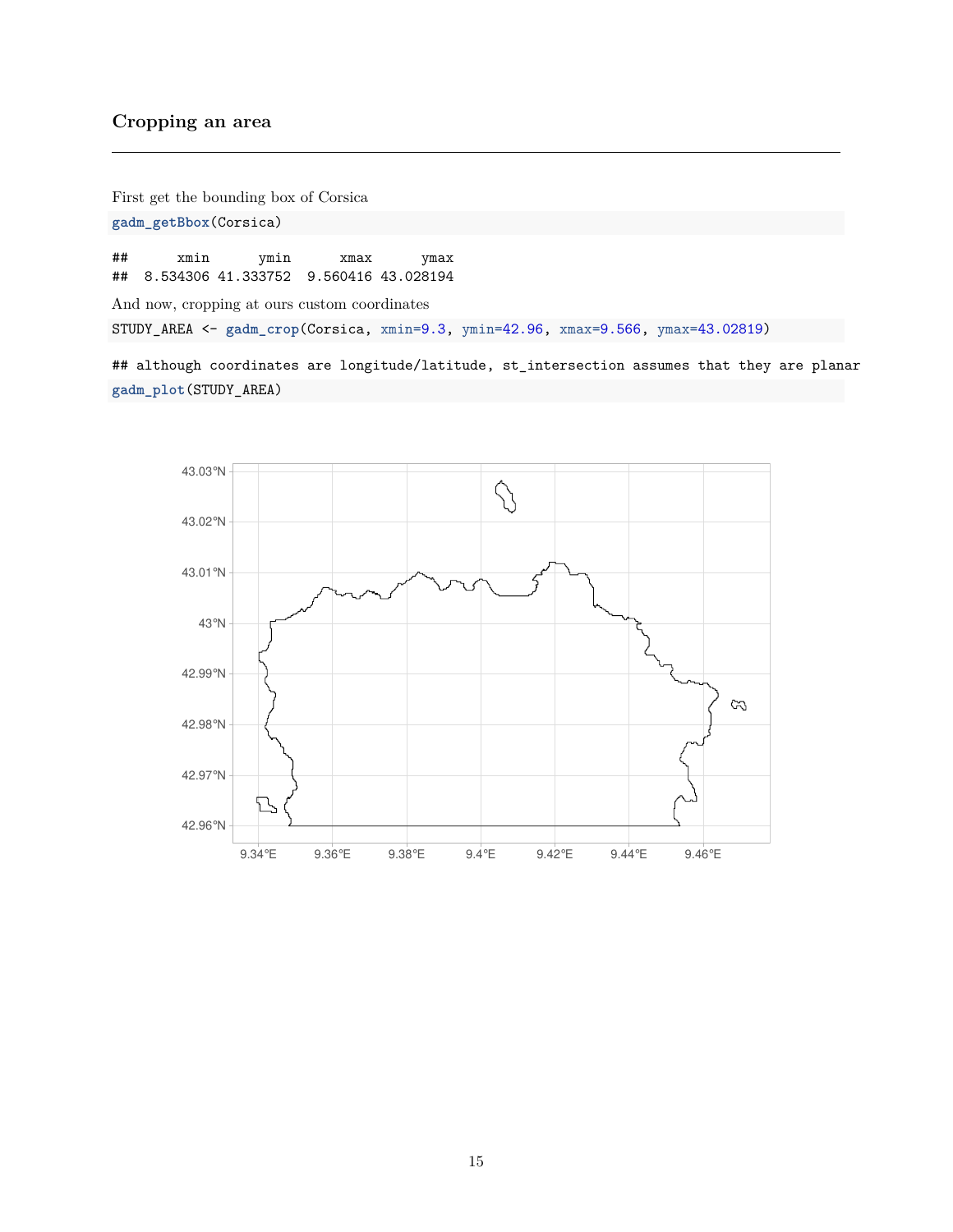#### **Cropping an area**

First get the bounding box of Corsica **gadm\_getBbox**(Corsica)

## xmin ymin xmax ymax ## 8.534306 41.333752 9.560416 43.028194

And now, cropping at ours custom coordinates

STUDY\_AREA <- **gadm\_crop**(Corsica, xmin=9.3, ymin=42.96, xmax=9.566, ymax=43.02819)

## although coordinates are longitude/latitude, st\_intersection assumes that they are planar **gadm\_plot**(STUDY\_AREA)

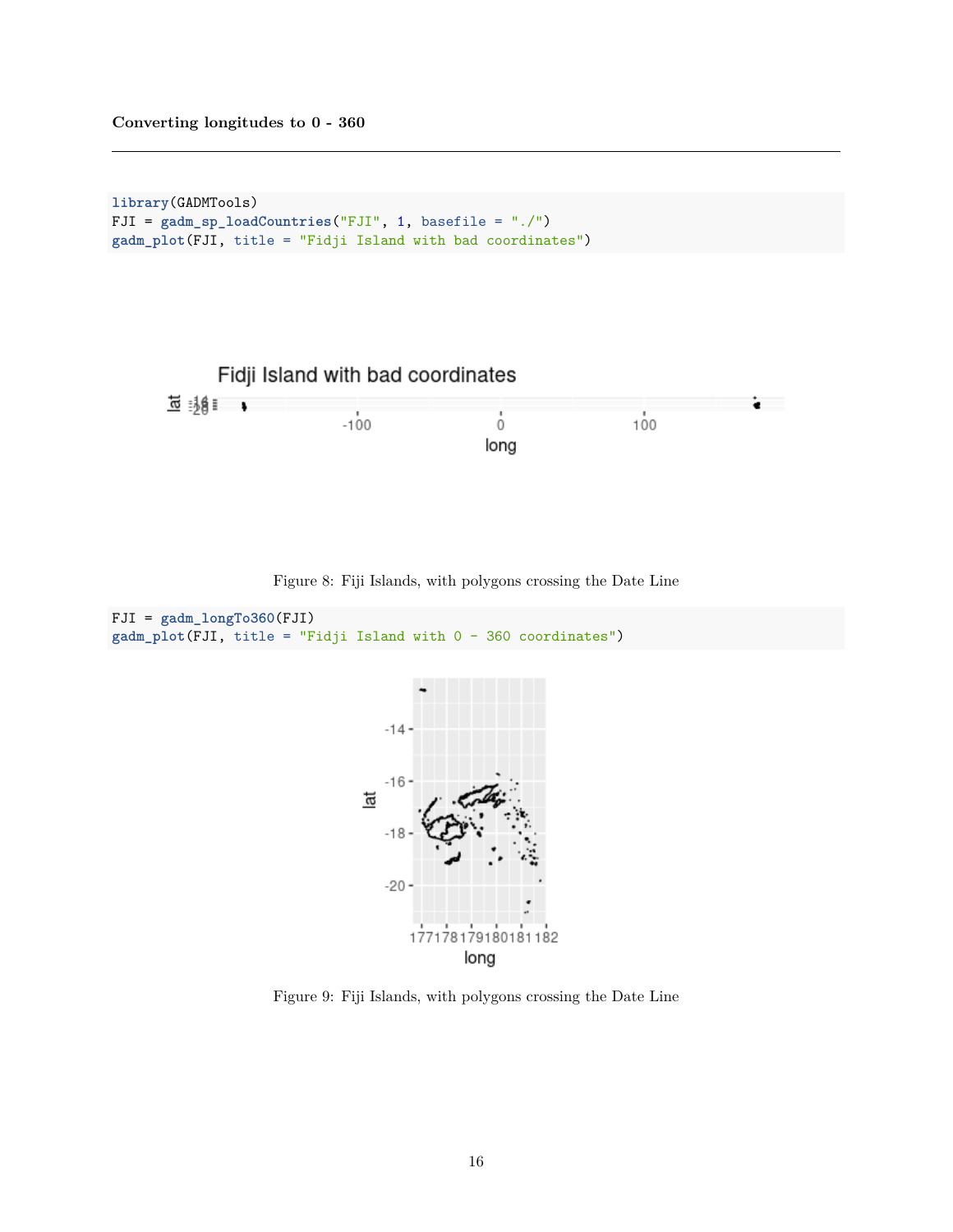```
library(GADMTools)
FJI = gadm_sp_loadCountries("FJI", 1, basefile = "./")
gadm_plot(FJI, title = "Fidji Island with bad coordinates")
```


Figure 8: Fiji Islands, with polygons crossing the Date Line

```
FJI = gadm_longTo360(FJI)
gadm_plot(FJI, title = "Fidji Island with 0 - 360 coordinates")
```


Figure 9: Fiji Islands, with polygons crossing the Date Line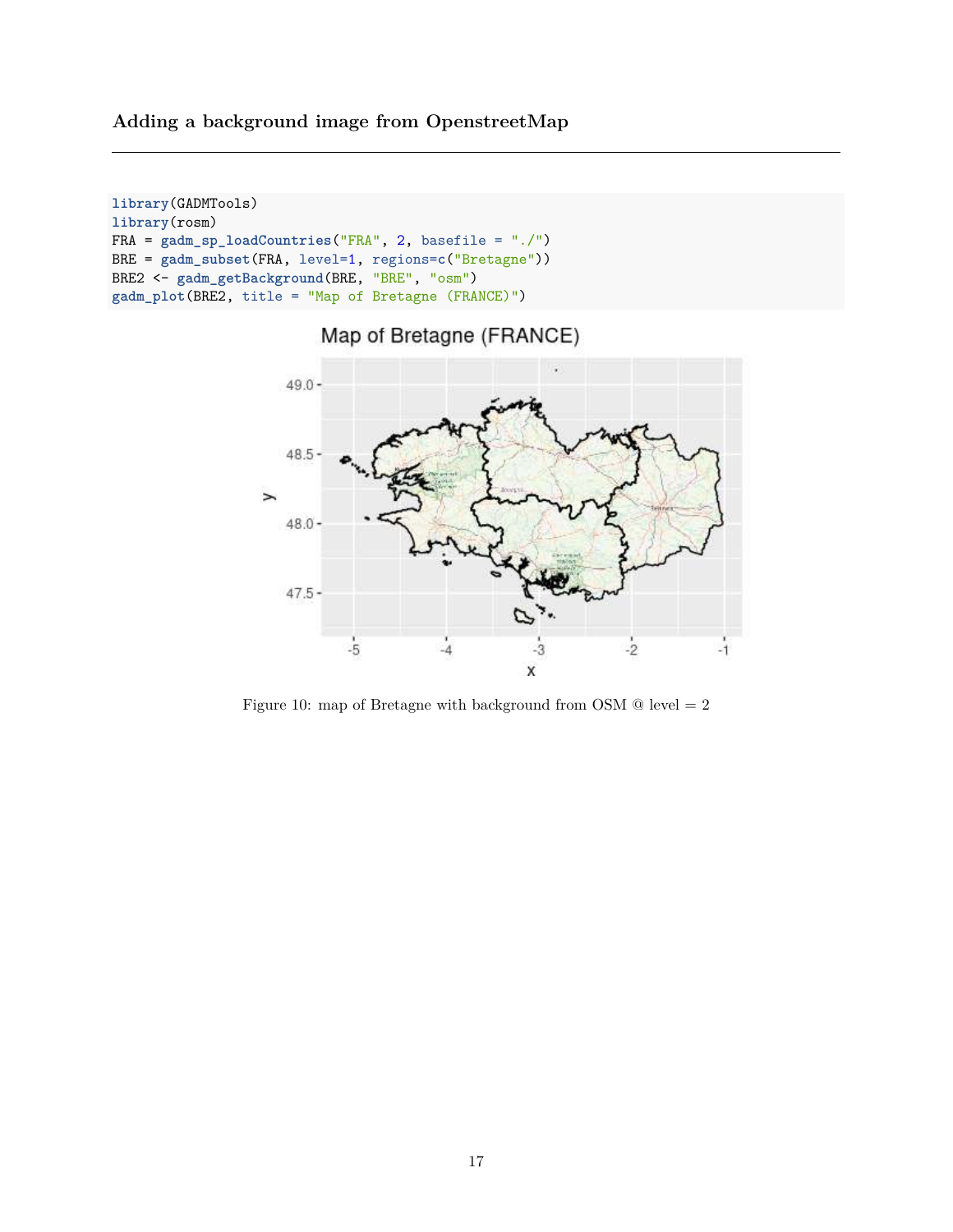**Adding a background image from OpenstreetMap**

```
library(GADMTools)
library(rosm)
FRA = gadm_sp_loadCountries("FRA", 2, basefile = "./")
BRE = gadm_subset(FRA, level=1, regions=c("Bretagne"))
BRE2 <- gadm_getBackground(BRE, "BRE", "osm")
gadm_plot(BRE2, title = "Map of Bretagne (FRANCE)")
```




Figure 10: map of Bretagne with background from OSM  $\textcircled{\textit{}}$  level = 2